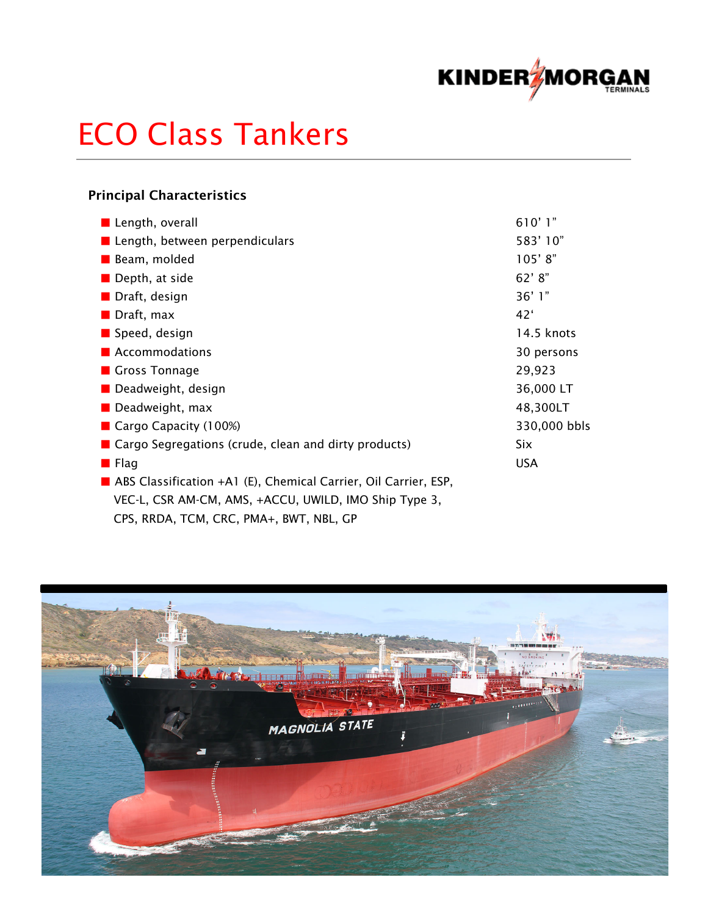

# ECO Class Tankers

## Principal Characteristics

| Length, overall                                                 | 610'1"          |
|-----------------------------------------------------------------|-----------------|
| ■ Length, between perpendiculars                                | 583'10"         |
| Beam, molded                                                    | 105'8"          |
| $\blacksquare$ Depth, at side                                   | 62' 8''         |
| Draft, design                                                   | 36'1"           |
| Draft, max                                                      | 42 <sup>′</sup> |
| Speed, design                                                   | 14.5 knots      |
| <b>Accommodations</b>                                           | 30 persons      |
| Gross Tonnage                                                   | 29,923          |
| Deadweight, design                                              | 36,000 LT       |
| $\blacksquare$ Deadweight, max                                  | 48,300LT        |
| Cargo Capacity $(100%)$                                         | 330,000 bbls    |
| ■ Cargo Segregations (crude, clean and dirty products)          | Six             |
| <b>E</b> Flag                                                   | <b>USA</b>      |
| ABS Classification +A1 (E), Chemical Carrier, Oil Carrier, ESP, |                 |
| VEC-L, CSR AM-CM, AMS, +ACCU, UWILD, IMO Ship Type 3,           |                 |
| CPS, RRDA, TCM, CRC, PMA+, BWT, NBL, GP                         |                 |